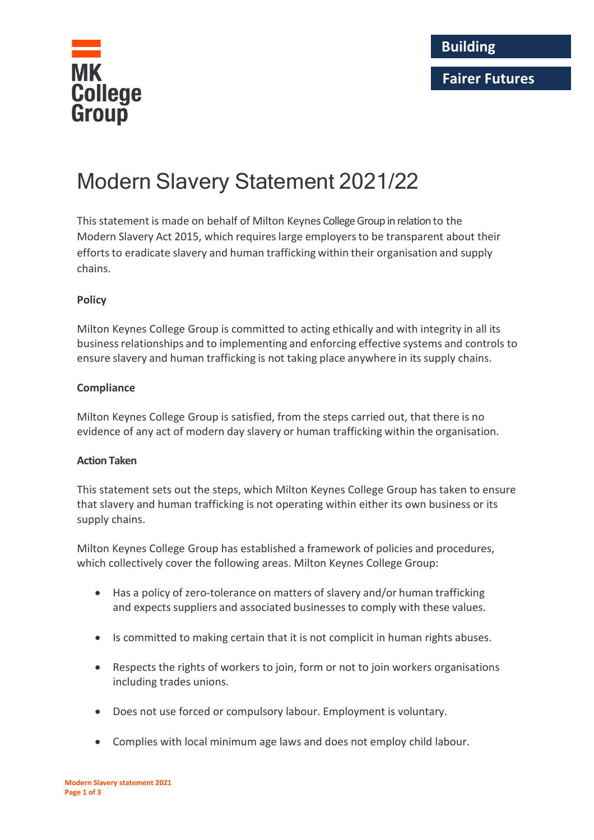

# **Fairer Futures**

# Modern Slavery Statement 2021/22

This statement is made on behalf of Milton Keynes College Group in relation to the Modern Slavery Act 2015, which requireslarge employersto be transparent about their efforts to eradicate slavery and human trafficking within their organisation and supply chains.

# **Policy**

Milton Keynes College Group is committed to acting ethically and with integrity in all its businessrelationships and to implementing and enforcing effective systems and controls to ensure slavery and human trafficking is not taking place anywhere in its supply chains.

### **Compliance**

Milton Keynes College Group is satisfied, from the steps carried out, that there is no evidence of any act of modern day slavery or human trafficking within the organisation.

#### **Action Taken**

This statement sets out the steps, which Milton Keynes College Group has taken to ensure that slavery and human trafficking is not operating within either its own business or its supply chains.

Milton Keynes College Group has established a framework of policies and procedures, which collectively cover the following areas. Milton Keynes College Group:

- Has a policy of zero-tolerance on matters of slavery and/or human trafficking and expects suppliers and associated businesses to comply with these values.
- Is committed to making certain that it is not complicit in human rights abuses.
- Respects the rights of workers to join, form or not to join workers organisations including trades unions.
- Does not use forced or compulsory labour. Employment is voluntary.
- Complies with local minimum age laws and does not employ child labour.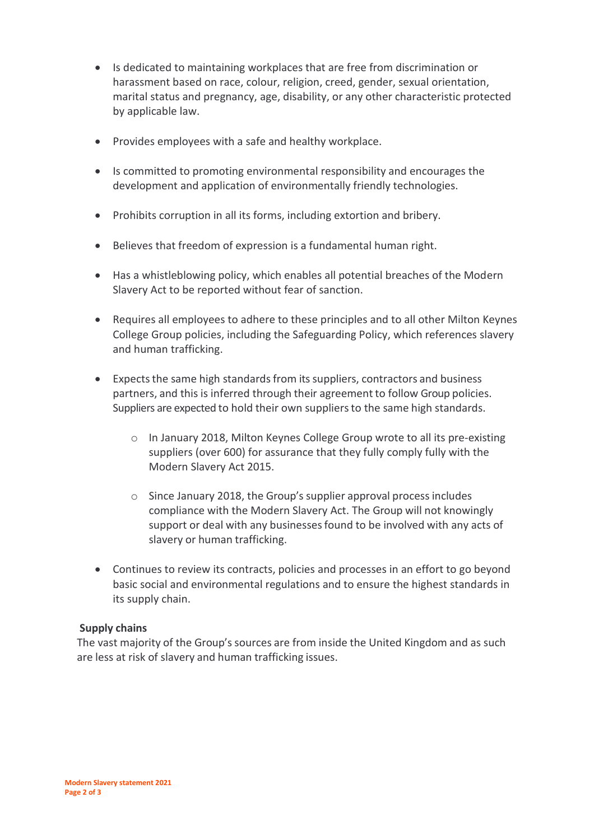- Is dedicated to maintaining workplaces that are free from discrimination or harassment based on race, colour, religion, creed, gender, sexual orientation, marital status and pregnancy, age, disability, or any other characteristic protected by applicable law.
- Provides employees with a safe and healthy workplace.
- Is committed to promoting environmental responsibility and encourages the development and application of environmentally friendly technologies.
- Prohibits corruption in all its forms, including extortion and bribery.
- Believes that freedom of expression is a fundamental human right.
- Has a whistleblowing policy, which enables all potential breaches of the Modern Slavery Act to be reported without fear of sanction.
- Requires all employees to adhere to these principles and to all other Milton Keynes College Group policies, including the Safeguarding Policy, which references slavery and human trafficking.
- Expects the same high standards from its suppliers, contractors and business partners, and this is inferred through their agreement to follow Group policies. Suppliers are expected to hold their own suppliers to the same high standards.
	- o In January 2018, Milton Keynes College Group wrote to all its pre-existing suppliers (over 600) for assurance that they fully comply fully with the Modern Slavery Act 2015.
	- o Since January 2018, the Group's supplier approval processincludes compliance with the Modern Slavery Act. The Group will not knowingly support or deal with any businesses found to be involved with any acts of slavery or human trafficking.
- Continues to review its contracts, policies and processes in an effort to go beyond basic social and environmental regulations and to ensure the highest standards in its supply chain.

# **Supply chains**

The vast majority of the Group's sources are from inside the United Kingdom and as such are less at risk of slavery and human trafficking issues.